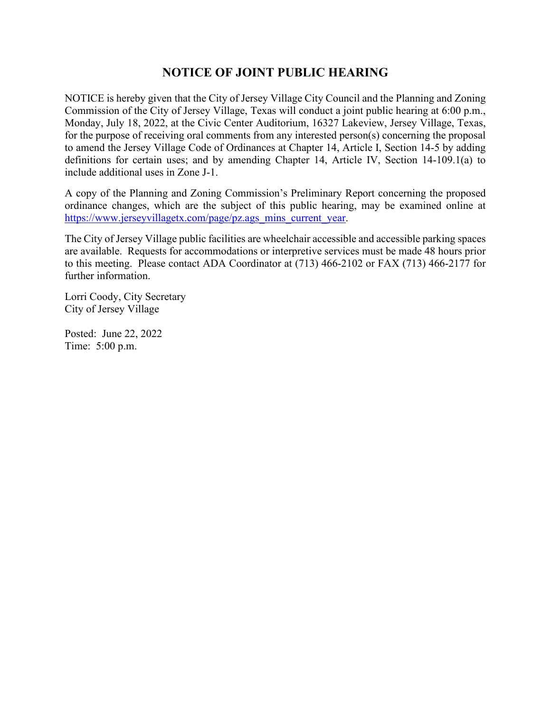## **NOTICE OF JOINT PUBLIC HEARING**

NOTICE is hereby given that the City of Jersey Village City Council and the Planning and Zoning Commission of the City of Jersey Village, Texas will conduct a joint public hearing at 6:00 p.m., Monday, July 18, 2022, at the Civic Center Auditorium, 16327 Lakeview, Jersey Village, Texas, for the purpose of receiving oral comments from any interested person(s) concerning the proposal to amend the Jersey Village Code of Ordinances at Chapter 14, Article I, Section 14-5 by adding definitions for certain uses; and by amending Chapter 14, Article IV, Section 14-109.1(a) to include additional uses in Zone J-1.

A copy of the Planning and Zoning Commission's Preliminary Report concerning the proposed ordinance changes, which are the subject of this public hearing, may be examined online at [https://www.jerseyvillagetx.com/page/pz.ags\\_mins\\_current\\_year.](https://www.jerseyvillagetx.com/page/pz.ags_mins_current_year)

The City of Jersey Village public facilities are wheelchair accessible and accessible parking spaces are available. Requests for accommodations or interpretive services must be made 48 hours prior to this meeting. Please contact ADA Coordinator at (713) 466-2102 or FAX (713) 466-2177 for further information.

Lorri Coody, City Secretary City of Jersey Village

Posted: June 22, 2022 Time: 5:00 p.m.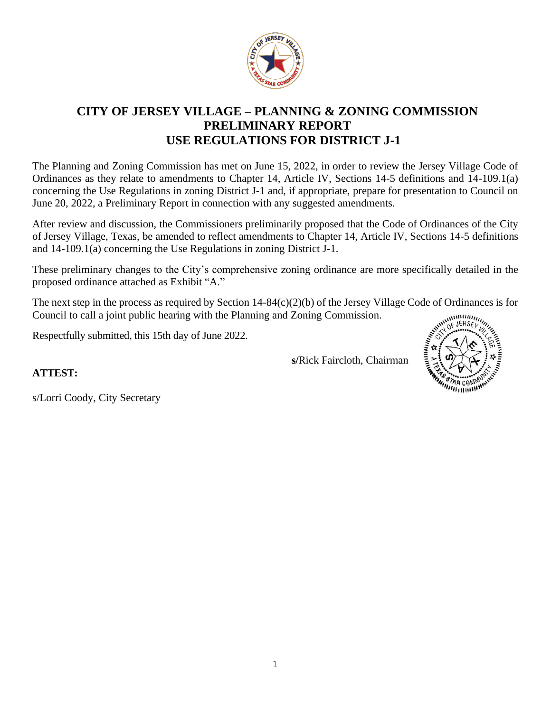

## **CITY OF JERSEY VILLAGE – PLANNING & ZONING COMMISSION PRELIMINARY REPORT USE REGULATIONS FOR DISTRICT J-1**

The Planning and Zoning Commission has met on June 15, 2022, in order to review the Jersey Village Code of Ordinances as they relate to amendments to Chapter 14, Article IV, Sections 14-5 definitions and 14-109.1(a) concerning the Use Regulations in zoning District J-1 and, if appropriate, prepare for presentation to Council on June 20, 2022, a Preliminary Report in connection with any suggested amendments.

After review and discussion, the Commissioners preliminarily proposed that the Code of Ordinances of the City of Jersey Village, Texas, be amended to reflect amendments to Chapter 14, Article IV, Sections 14-5 definitions and 14-109.1(a) concerning the Use Regulations in zoning District J-1.

These preliminary changes to the City's comprehensive zoning ordinance are more specifically detailed in the proposed ordinance attached as Exhibit "A."

The next step in the process as required by Section 14-84(c)(2)(b) of the Jersey Village Code of Ordinances is for<br>Council to call a joint public hearing with the Planning and Zoning Commission.<br>Respectfully submitted thi Council to call a joint public hearing with the Planning and Zoning Commission.

Respectfully submitted, this 15th day of June 2022.

**s/**Rick Faircloth, Chairman



**ATTEST:**

s/Lorri Coody, City Secretary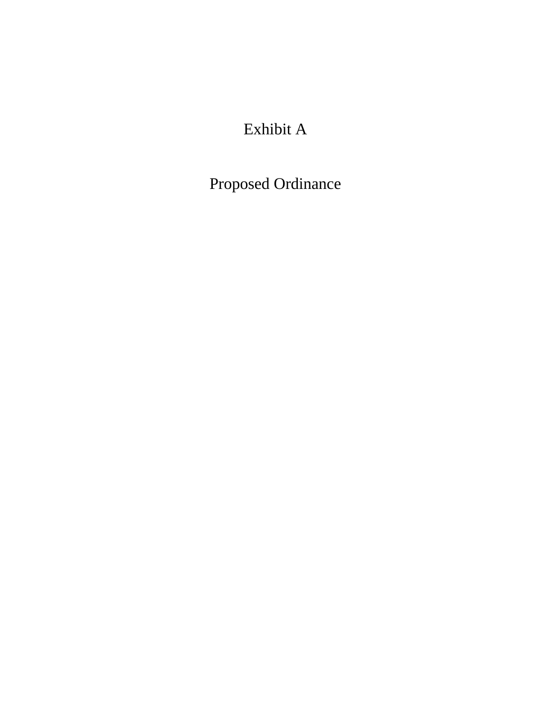# Exhibit A

Proposed Ordinance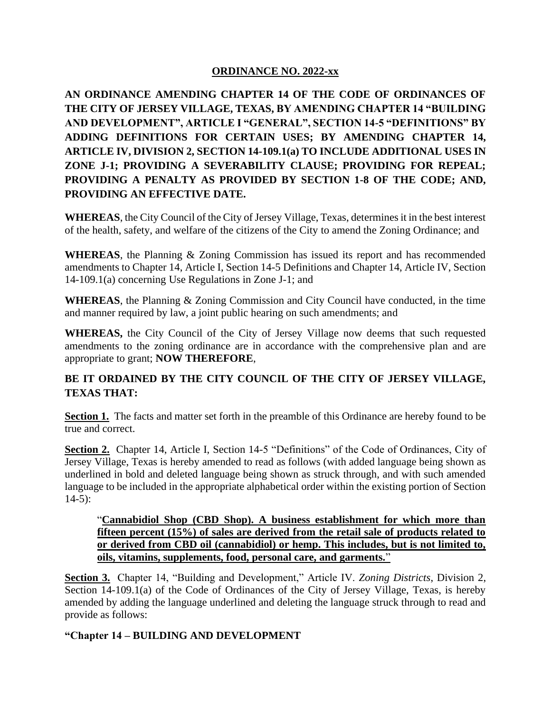### **ORDINANCE NO. 2022-xx**

**AN ORDINANCE AMENDING CHAPTER 14 OF THE CODE OF ORDINANCES OF THE CITY OF JERSEY VILLAGE, TEXAS, BY AMENDING CHAPTER 14 "BUILDING AND DEVELOPMENT", ARTICLE I "GENERAL", SECTION 14-5 "DEFINITIONS" BY ADDING DEFINITIONS FOR CERTAIN USES; BY AMENDING CHAPTER 14, ARTICLE IV, DIVISION 2, SECTION 14-109.1(a) TO INCLUDE ADDITIONAL USES IN ZONE J-1; PROVIDING A SEVERABILITY CLAUSE; PROVIDING FOR REPEAL; PROVIDING A PENALTY AS PROVIDED BY SECTION 1-8 OF THE CODE; AND, PROVIDING AN EFFECTIVE DATE.**

**WHEREAS**, the City Council of the City of Jersey Village, Texas, determines it in the best interest of the health, safety, and welfare of the citizens of the City to amend the Zoning Ordinance; and

**WHEREAS**, the Planning & Zoning Commission has issued its report and has recommended amendments to Chapter 14, Article I, Section 14-5 Definitions and Chapter 14, Article IV, Section 14-109.1(a) concerning Use Regulations in Zone J-1; and

**WHEREAS**, the Planning & Zoning Commission and City Council have conducted, in the time and manner required by law, a joint public hearing on such amendments; and

**WHEREAS,** the City Council of the City of Jersey Village now deems that such requested amendments to the zoning ordinance are in accordance with the comprehensive plan and are appropriate to grant; **NOW THEREFORE**,

## **BE IT ORDAINED BY THE CITY COUNCIL OF THE CITY OF JERSEY VILLAGE, TEXAS THAT:**

**Section 1.** The facts and matter set forth in the preamble of this Ordinance are hereby found to be true and correct.

**Section 2.** Chapter 14, Article I, Section 14-5 "Definitions" of the Code of Ordinances, City of Jersey Village, Texas is hereby amended to read as follows (with added language being shown as underlined in bold and deleted language being shown as struck through, and with such amended language to be included in the appropriate alphabetical order within the existing portion of Section  $14-5$ :

### "**Cannabidiol Shop (CBD Shop). A business establishment for which more than fifteen percent (15%) of sales are derived from the retail sale of products related to or derived from CBD oil (cannabidiol) or hemp. This includes, but is not limited to, oils, vitamins, supplements, food, personal care, and garments.**"

**Section 3.** Chapter 14, "Building and Development," Article IV. *Zoning Districts*, Division 2, Section 14-109.1(a) of the Code of Ordinances of the City of Jersey Village, Texas, is hereby amended by adding the language underlined and deleting the language struck through to read and provide as follows:

## **"Chapter 14 – BUILDING AND DEVELOPMENT**